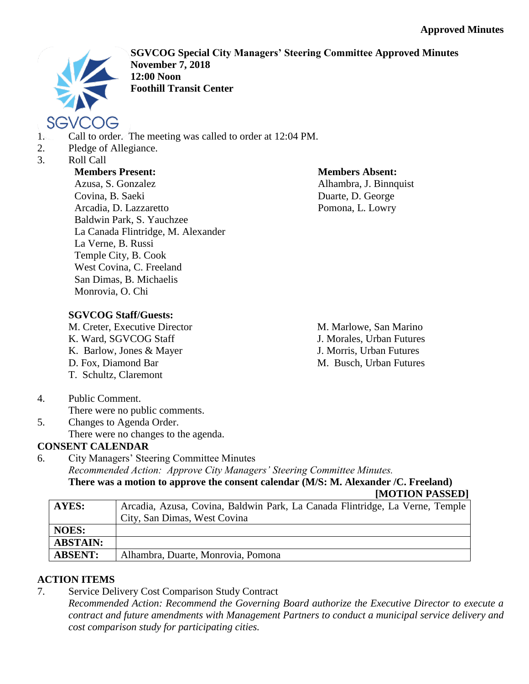

**SGVCOG Special City Managers' Steering Committee Approved Minutes November 7, 2018 12:00 Noon Foothill Transit Center**

- 1. Call to order. The meeting was called to order at 12:04 PM.
- 2. Pledge of Allegiance.
- 3. Roll Call

## **Members Present:**

Azusa, S. Gonzalez Covina, B. Saeki Arcadia, D. Lazzaretto Baldwin Park, S. Yauchzee La Canada Flintridge, M. Alexander La Verne, B. Russi Temple City, B. Cook West Covina, C. Freeland San Dimas, B. Michaelis Monrovia, O. Chi

## **Members Absent:**

Alhambra, J. Binnquist Duarte, D. George Pomona, L. Lowry

## **SGVCOG Staff/Guests:**

M. Creter, Executive Director K. Ward, SGVCOG Staff K. Barlow, Jones & Mayer D. Fox, Diamond Bar T. Schultz, Claremont

M. Marlowe, San Marino J. Morales, Urban Futures J. Morris, Urban Futures M. Busch, Urban Futures

- 4. Public Comment.
	- There were no public comments.
- 5. Changes to Agenda Order.
	- There were no changes to the agenda.

## **CONSENT CALENDAR**

6. City Managers' Steering Committee Minutes *Recommended Action: Approve City Managers' Steering Committee Minutes.* **There was a motion to approve the consent calendar (M/S: M. Alexander /C. Freeland)**

**[MOTION PASSED]**

| <b>AYES:</b>    | Arcadia, Azusa, Covina, Baldwin Park, La Canada Flintridge, La Verne, Temple |
|-----------------|------------------------------------------------------------------------------|
|                 | City, San Dimas, West Covina                                                 |
| NOES:           |                                                                              |
| <b>ABSTAIN:</b> |                                                                              |
| <b>ABSENT:</b>  | Alhambra, Duarte, Monrovia, Pomona                                           |

# **ACTION ITEMS**

7. Service Delivery Cost Comparison Study Contract

*Recommended Action: Recommend the Governing Board authorize the Executive Director to execute a contract and future amendments with Management Partners to conduct a municipal service delivery and cost comparison study for participating cities.*